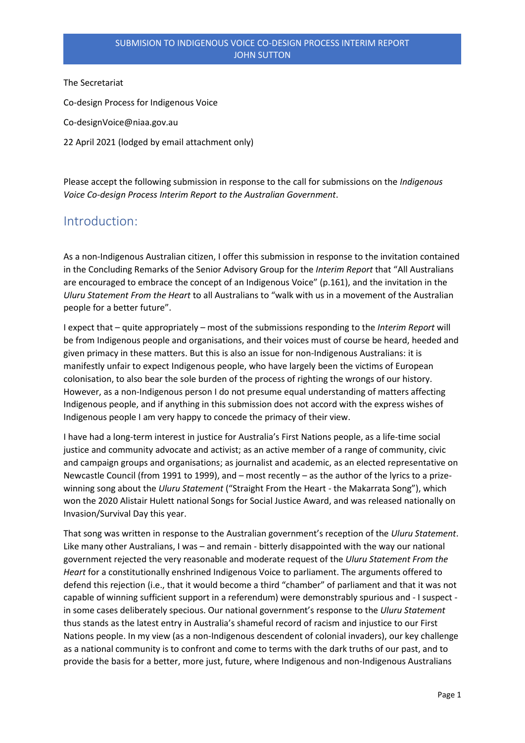The Secretariat

Co-design Process for Indigenous Voice

Co-designVoice@niaa.gov.au

22 April 2021 (lodged by email attachment only)

Please accept the following submission in response to the call for submissions on the *Indigenous Voice Co-design Process Interim Report to the Australian Government*.

### Introduction:

As a non-Indigenous Australian citizen, I offer this submission in response to the invitation contained in the Concluding Remarks of the Senior Advisory Group for the *Interim Report* that "All Australians are encouraged to embrace the concept of an Indigenous Voice" (p.161), and the invitation in the *Uluru Statement From the Heart* to all Australians to "walk with us in a movement of the Australian people for a better future".

I expect that – quite appropriately – most of the submissions responding to the *Interim Report* will be from Indigenous people and organisations, and their voices must of course be heard, heeded and given primacy in these matters. But this is also an issue for non-Indigenous Australians: it is manifestly unfair to expect Indigenous people, who have largely been the victims of European colonisation, to also bear the sole burden of the process of righting the wrongs of our history. However, as a non-Indigenous person I do not presume equal understanding of matters affecting Indigenous people, and if anything in this submission does not accord with the express wishes of Indigenous people I am very happy to concede the primacy of their view.

I have had a long-term interest in justice for Australia's First Nations people, as a life-time social justice and community advocate and activist; as an active member of a range of community, civic and campaign groups and organisations; as journalist and academic, as an elected representative on Newcastle Council (from 1991 to 1999), and – most recently – as the author of the lyrics to a prizewinning song about the *Uluru Statement* ("Straight From the Heart - the Makarrata Song"), which won the 2020 Alistair Hulett national Songs for Social Justice Award, and was released nationally on Invasion/Survival Day this year.

That song was written in response to the Australian government's reception of the *Uluru Statement*. Like many other Australians, I was – and remain - bitterly disappointed with the way our national government rejected the very reasonable and moderate request of the *Uluru Statement From the Heart* for a constitutionally enshrined Indigenous Voice to parliament. The arguments offered to defend this rejection (i.e., that it would become a third "chamber" of parliament and that it was not capable of winning sufficient support in a referendum) were demonstrably spurious and - I suspect in some cases deliberately specious. Our national government's response to the *Uluru Statement* thus stands as the latest entry in Australia's shameful record of racism and injustice to our First Nations people. In my view (as a non-Indigenous descendent of colonial invaders), our key challenge as a national community is to confront and come to terms with the dark truths of our past, and to provide the basis for a better, more just, future, where Indigenous and non-Indigenous Australians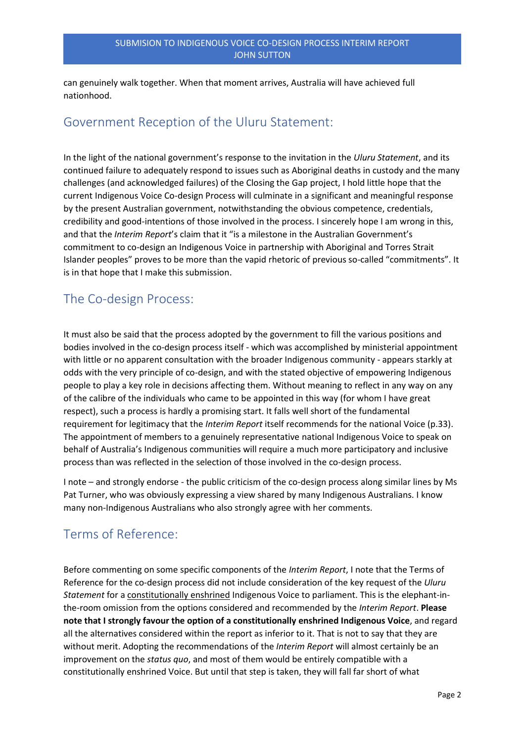can genuinely walk together. When that moment arrives, Australia will have achieved full nationhood.

### Government Reception of the Uluru Statement:

In the light of the national government's response to the invitation in the *Uluru Statement*, and its continued failure to adequately respond to issues such as Aboriginal deaths in custody and the many challenges (and acknowledged failures) of the Closing the Gap project, I hold little hope that the current Indigenous Voice Co-design Process will culminate in a significant and meaningful response by the present Australian government, notwithstanding the obvious competence, credentials, credibility and good-intentions of those involved in the process. I sincerely hope I am wrong in this, and that the *Interim Report*'s claim that it "is a milestone in the Australian Government's commitment to co-design an Indigenous Voice in partnership with Aboriginal and Torres Strait Islander peoples" proves to be more than the vapid rhetoric of previous so-called "commitments". It is in that hope that I make this submission.

## The Co-design Process:

It must also be said that the process adopted by the government to fill the various positions and bodies involved in the co-design process itself - which was accomplished by ministerial appointment with little or no apparent consultation with the broader Indigenous community - appears starkly at odds with the very principle of co-design, and with the stated objective of empowering Indigenous people to play a key role in decisions affecting them. Without meaning to reflect in any way on any of the calibre of the individuals who came to be appointed in this way (for whom I have great respect), such a process is hardly a promising start. It falls well short of the fundamental requirement for legitimacy that the *Interim Report* itself recommends for the national Voice (p.33). The appointment of members to a genuinely representative national Indigenous Voice to speak on behalf of Australia's Indigenous communities will require a much more participatory and inclusive process than was reflected in the selection of those involved in the co-design process.

I note – and strongly endorse - the public criticism of the co-design process along similar lines by Ms Pat Turner, who was obviously expressing a view shared by many Indigenous Australians. I know many non-Indigenous Australians who also strongly agree with her comments.

# Terms of Reference:

Before commenting on some specific components of the *Interim Report*, I note that the Terms of Reference for the co-design process did not include consideration of the key request of the *Uluru Statement* for a constitutionally enshrined Indigenous Voice to parliament. This is the elephant-inthe-room omission from the options considered and recommended by the *Interim Report*. **Please note that I strongly favour the option of a constitutionally enshrined Indigenous Voice**, and regard all the alternatives considered within the report as inferior to it. That is not to say that they are without merit. Adopting the recommendations of the *Interim Report* will almost certainly be an improvement on the *status quo*, and most of them would be entirely compatible with a constitutionally enshrined Voice. But until that step is taken, they will fall far short of what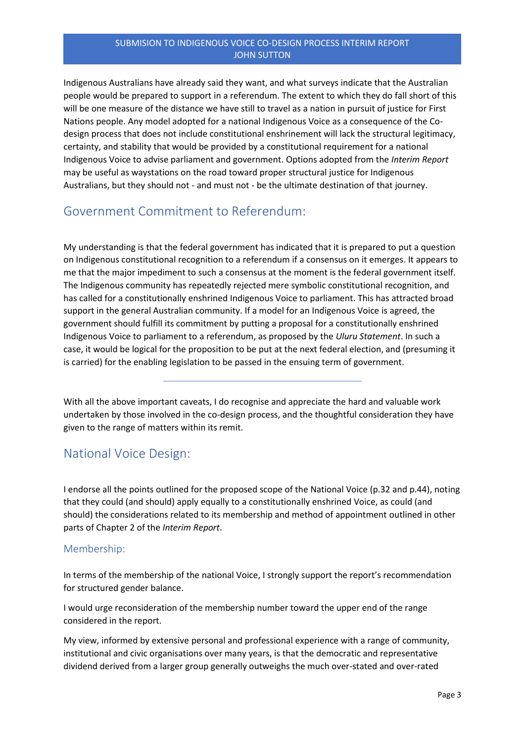Indigenous Australians have already said they want, and what surveys indicate that the Australian people would be prepared to support in a referendum. The extent to which they do fall short of this will be one measure of the distance we have still to travel as a nation in pursuit of justice for First Nations people. Any model adopted for a national Indigenous Voice as a consequence of the Codesign process that does not include constitutional enshrinement will lack the structural legitimacy, certainty, and stability that would be provided by a constitutional requirement for a national Indigenous Voice to advise parliament and government. Options adopted from the *Interim Report* may be useful as waystations on the road toward proper structural justice for Indigenous Australians, but they should not - and must not - be the ultimate destination of that journey.

# Government Commitment to Referendum:

My understanding is that the federal government has indicated that it is prepared to put a question on Indigenous constitutional recognition to a referendum if a consensus on it emerges. It appears to me that the major impediment to such a consensus at the moment is the federal government itself. The Indigenous community has repeatedly rejected mere symbolic constitutional recognition, and has called for a constitutionally enshrined Indigenous Voice to parliament. This has attracted broad support in the general Australian community. If a model for an Indigenous Voice is agreed, the government should fulfill its commitment by putting a proposal for a constitutionally enshrined Indigenous Voice to parliament to a referendum, as proposed by the *Uluru Statement*. In such a case, it would be logical for the proposition to be put at the next federal election, and (presuming it is carried) for the enabling legislation to be passed in the ensuing term of government.

With all the above important caveats, I do recognise and appreciate the hard and valuable work undertaken by those involved in the co-design process, and the thoughtful consideration they have given to the range of matters within its remit.

## National Voice Design:

I endorse all the points outlined for the proposed scope of the National Voice (p.32 and p.44), noting that they could (and should) apply equally to a constitutionally enshrined Voice, as could (and should) the considerations related to its membership and method of appointment outlined in other parts of Chapter 2 of the *Interim Report*.

### Membership:

In terms of the membership of the national Voice, I strongly support the report's recommendation for structured gender balance.

I would urge reconsideration of the membership number toward the upper end of the range considered in the report.

My view, informed by extensive personal and professional experience with a range of community, institutional and civic organisations over many years, is that the democratic and representative dividend derived from a larger group generally outweighs the much over-stated and over-rated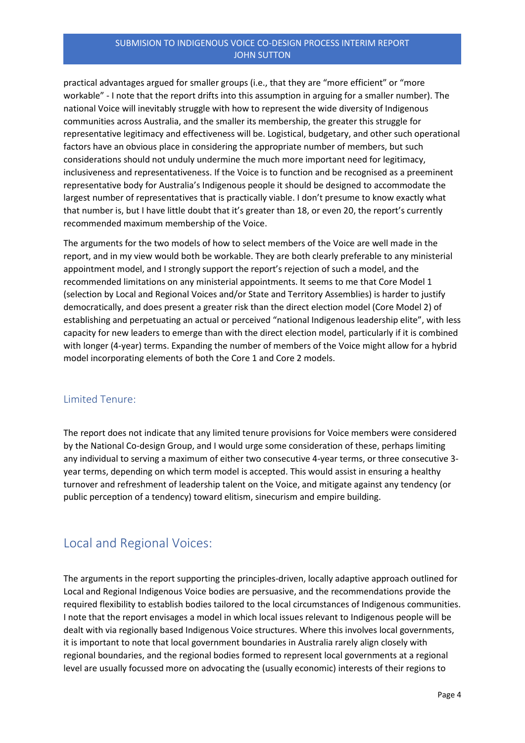### SUBMISION TO INDIGENOUS VOICE CO-DESIGN PROCESS INTERIM REPORT JOHN SUTTON

practical advantages argued for smaller groups (i.e., that they are "more efficient" or "more workable" - I note that the report drifts into this assumption in arguing for a smaller number). The national Voice will inevitably struggle with how to represent the wide diversity of Indigenous communities across Australia, and the smaller its membership, the greater this struggle for representative legitimacy and effectiveness will be. Logistical, budgetary, and other such operational factors have an obvious place in considering the appropriate number of members, but such considerations should not unduly undermine the much more important need for legitimacy, inclusiveness and representativeness. If the Voice is to function and be recognised as a preeminent representative body for Australia's Indigenous people it should be designed to accommodate the largest number of representatives that is practically viable. I don't presume to know exactly what that number is, but I have little doubt that it's greater than 18, or even 20, the report's currently recommended maximum membership of the Voice.

The arguments for the two models of how to select members of the Voice are well made in the report, and in my view would both be workable. They are both clearly preferable to any ministerial appointment model, and I strongly support the report's rejection of such a model, and the recommended limitations on any ministerial appointments. It seems to me that Core Model 1 (selection by Local and Regional Voices and/or State and Territory Assemblies) is harder to justify democratically, and does present a greater risk than the direct election model (Core Model 2) of establishing and perpetuating an actual or perceived "national Indigenous leadership elite", with less capacity for new leaders to emerge than with the direct election model, particularly if it is combined with longer (4-year) terms. Expanding the number of members of the Voice might allow for a hybrid model incorporating elements of both the Core 1 and Core 2 models.

### Limited Tenure:

The report does not indicate that any limited tenure provisions for Voice members were considered by the National Co-design Group, and I would urge some consideration of these, perhaps limiting any individual to serving a maximum of either two consecutive 4-year terms, or three consecutive 3 year terms, depending on which term model is accepted. This would assist in ensuring a healthy turnover and refreshment of leadership talent on the Voice, and mitigate against any tendency (or public perception of a tendency) toward elitism, sinecurism and empire building.

## Local and Regional Voices:

The arguments in the report supporting the principles-driven, locally adaptive approach outlined for Local and Regional Indigenous Voice bodies are persuasive, and the recommendations provide the required flexibility to establish bodies tailored to the local circumstances of Indigenous communities. I note that the report envisages a model in which local issues relevant to Indigenous people will be dealt with via regionally based Indigenous Voice structures. Where this involves local governments, it is important to note that local government boundaries in Australia rarely align closely with regional boundaries, and the regional bodies formed to represent local governments at a regional level are usually focussed more on advocating the (usually economic) interests of their regions to